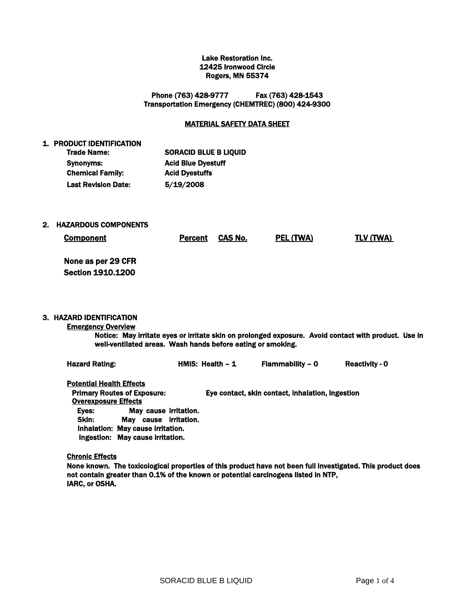#### Lake Restoration Inc. 12425 Ironwood Circle Rogers, MN 55374

Phone (763) 428-9777 Fax (763) 428-1543 Transportation Emergency (CHEMTREC) (800) 424-9300

## MATERIAL SAFETY DATA SHEET

| <b>SORACID BLUE B LIQUID</b> |
|------------------------------|
| <b>Acid Blue Dyestuff</b>    |
| <b>Acid Dyestuffs</b>        |
| 5/19/2008                    |
|                              |

2. HAZARDOUS COMPONENTS

1. PRODUCT IDENTIFICATION

Component CAS No. PEL (TWA) TLV (TWA)

None as per 29 CFR Section 1910.1200

## 3. HAZARD IDENTIFICATION

## Emergency Overview

Notice: May irritate eyes or irritate skin on prolonged exposure. Avoid contact with product. Use in well-ventilated areas. Wash hands before eating or smoking.

| <b>Hazard Rating:</b>                                          |                                                                                        | HMIS: Health $-1$ | Flammability - 0                                 | <b>Reactivity - 0</b> |
|----------------------------------------------------------------|----------------------------------------------------------------------------------------|-------------------|--------------------------------------------------|-----------------------|
| <b>Potential Health Effects</b><br><b>Overexposure Effects</b> | <b>Primary Routes of Exposure:</b>                                                     |                   | Eye contact, skin contact, inhalation, ingestion |                       |
| Eves:<br>Skin:                                                 | May cause irritation.<br>cause irritation.<br>Mav<br>Inhalation: May cause irritation. |                   |                                                  |                       |

Ingestion: May cause irritation.

#### Chronic Effects

None known. The toxicological properties of this product have not been full investigated. This product does not contain greater than 0.1% of the known or potential carcinogens listed in NTP, IARC, or OSHA.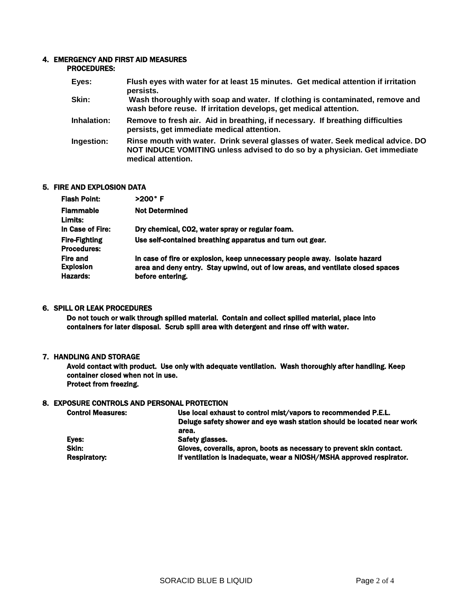#### 4. EMERGENCY AND FIRST AID MEASURES PROCEDURES:

| Eyes:       | Flush eyes with water for at least 15 minutes. Get medical attention if irritation<br>persists.                                                                                    |
|-------------|------------------------------------------------------------------------------------------------------------------------------------------------------------------------------------|
| Skin:       | Wash thoroughly with soap and water. If clothing is contaminated, remove and<br>wash before reuse. If irritation develops, get medical attention.                                  |
| Inhalation: | Remove to fresh air. Aid in breathing, if necessary. If breathing difficulties<br>persists, get immediate medical attention.                                                       |
| Ingestion:  | Rinse mouth with water. Drink several glasses of water. Seek medical advice. DO<br>NOT INDUCE VOMITING unless advised to do so by a physician. Get immediate<br>medical attention. |

## 5. FIRE AND EXPLOSION DATA

| >200° F                                                                                                                                                                           |
|-----------------------------------------------------------------------------------------------------------------------------------------------------------------------------------|
| <b>Not Determined</b>                                                                                                                                                             |
| Dry chemical, CO2, water spray or regular foam.                                                                                                                                   |
| Use self-contained breathing apparatus and turn out gear.                                                                                                                         |
| In case of fire or explosion, keep unnecessary people away. Isolate hazard<br>area and deny entry. Stay upwind, out of low areas, and ventilate closed spaces<br>before entering. |
|                                                                                                                                                                                   |

# 6. SPILL OR LEAK PROCEDURES

Do not touch or walk through spilled material. Contain and collect spilled material, place into containers for later disposal. Scrub spill area with detergent and rinse off with water.

## 7. HANDLING AND STORAGE

Avoid contact with product. Use only with adequate ventilation. Wash thoroughly after handling. Keep container closed when not in use. Protect from freezing.

## 8. EXPOSURE CONTROLS AND PERSONAL PROTECTION

| <b>Control Measures:</b> | Use local exhaust to control mist/vapors to recommended P.E.L.        |
|--------------------------|-----------------------------------------------------------------------|
|                          | Deluge safety shower and eye wash station should be located near work |
|                          | area.                                                                 |
| Eyes:                    | Safety glasses.                                                       |
| Skin:                    | Gloves, coveralls, apron, boots as necessary to prevent skin contact. |
| <b>Respiratory:</b>      | If ventilation is inadequate, wear a NIOSH/MSHA approved respirator.  |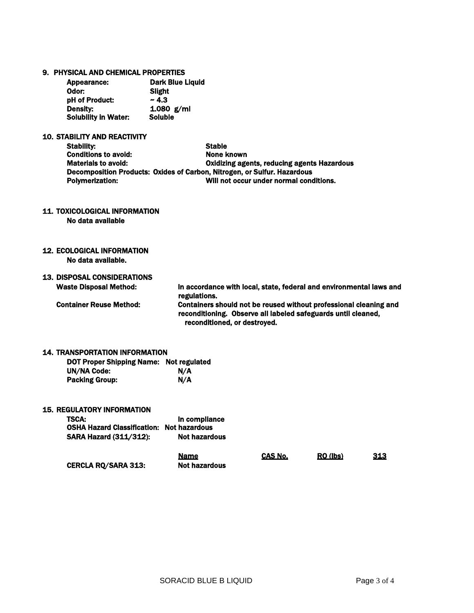|  |  |  |  |  | 9. PHYSICAL AND CHEMICAL PROPERTIES |
|--|--|--|--|--|-------------------------------------|
|--|--|--|--|--|-------------------------------------|

| Appearance:                 | <b>Dark Blue Liquid</b> |
|-----------------------------|-------------------------|
| :Odor                       | Slight                  |
| pH of Product:              | ~1.3                    |
| Density:                    | 1.080 $g/ml$            |
| <b>Solubility in Water:</b> | <b>Soluble</b>          |

# 10. STABILITY AND REACTIVITY

| Stability:                  | <b>Stable</b>                                                            |
|-----------------------------|--------------------------------------------------------------------------|
| <b>Conditions to avoid:</b> | None known                                                               |
| <b>Materials to avoid:</b>  | Oxidizing agents, reducing agents Hazardous                              |
|                             | Decomposition Products: Oxides of Carbon, Nitrogen, or Sulfur. Hazardous |
| Polymerization:             | Will not occur under normal conditions.                                  |

11. TOXICOLOGICAL INFORMATION

No data available

12. ECOLOGICAL INFORMATION No data available.

# 13. DISPOSAL CONSIDERATIONS

Waste Disposal Method: In accordance with local, state, federal and environmental laws and regulations. Container Reuse Method: Containers should not be reused without professional cleaning and reconditioning. Observe all labeled safeguards until cleaned, reconditioned, or destroyed.

#### 14. TRANSPORTATION INFORMATION

| <b>DOT Proper Shipping Name: Not regulated</b> |     |
|------------------------------------------------|-----|
| <b>UN/NA Code:</b>                             | N/A |
| <b>Packing Group:</b>                          | N/A |

## 15. REGULATORY INFORMATION

| <b>TSCA:</b><br><b>OSHA Hazard Classification: Not hazardous</b><br><b>SARA Hazard (311/312):</b> | In compliance<br><b>Not hazardous</b> |         |          |            |
|---------------------------------------------------------------------------------------------------|---------------------------------------|---------|----------|------------|
| <b>CERCLA RQ/SARA 313:</b>                                                                        | <b>Name</b><br><b>Not hazardous</b>   | CAS No. | RQ (lbs) | <u>313</u> |